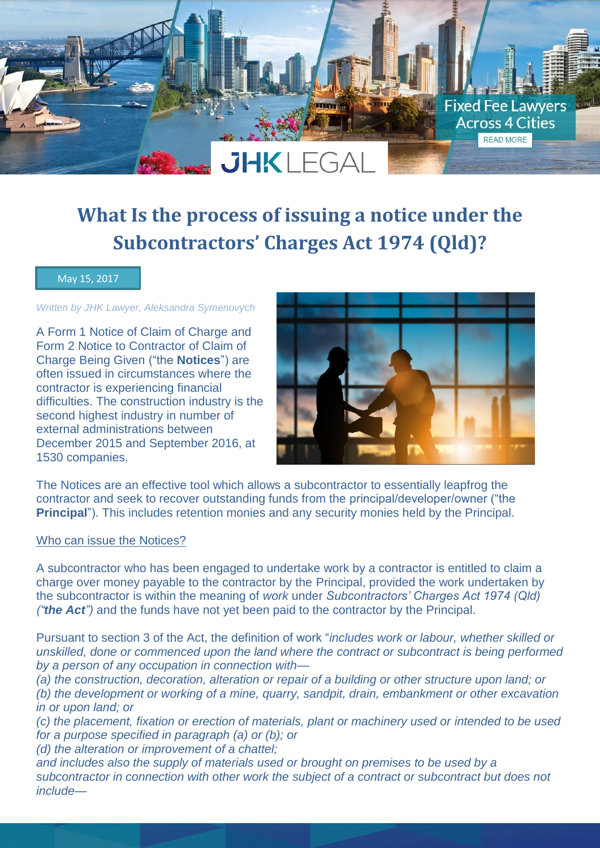# $JHKIFGA$

# **What Is the process of issuing a notice under the Subcontractors' Charges Act 1974 (Qld)?**

## May 15, 2017

# *Written by JHK Lawyer, Aleksandra Symenovych*

A Form 1 Notice of Claim of Charge and Form 2 Notice to Contractor of Claim of Charge Being Given ("the **Notices**") are often issued in circumstances where the contractor is experiencing financial difficulties. The construction industry is the second highest industry in number of external administrations between December 2015 and September 2016, at 1530 companies.



**Fixed Fee Lawyers Across 4 Cities** READ MORE

The Notices are an effective tool which allows a subcontractor to essentially leapfrog the contractor and seek to recover outstanding funds from the principal/developer/owner ("the **Principal**"). This includes retention monies and any security monies held by the Principal.

#### Who can issue the Notices?

A subcontractor who has been engaged to undertake work by a contractor is entitled to claim a charge over money payable to the contractor by the Principal, provided the work undertaken by the subcontractor is within the meaning of *work* under *Subcontractors' Charges Act 1974 (Qld) ("the Act")* and the funds have not yet been paid to the contractor by the Principal.

Pursuant to section 3 of the Act, the definition of work "*includes work or labour, whether skilled or unskilled, done or commenced upon the land where the contract or subcontract is being performed by a person of any occupation in connection with—*

*(a) the construction, decoration, alteration or repair of a building or other structure upon land; or (b) the development or working of a mine, quarry, sandpit, drain, embankment or other excavation in or upon land; or* 

*(c) the placement, fixation or erection of materials, plant or machinery used or intended to be used for a purpose specified in paragraph (a) or (b); or* 

*(d) the alteration or improvement of a chattel;* 

*and includes also the supply of materials used or brought on premises to be used by a subcontractor in connection with other work the subject of a contract or subcontract but does not include—*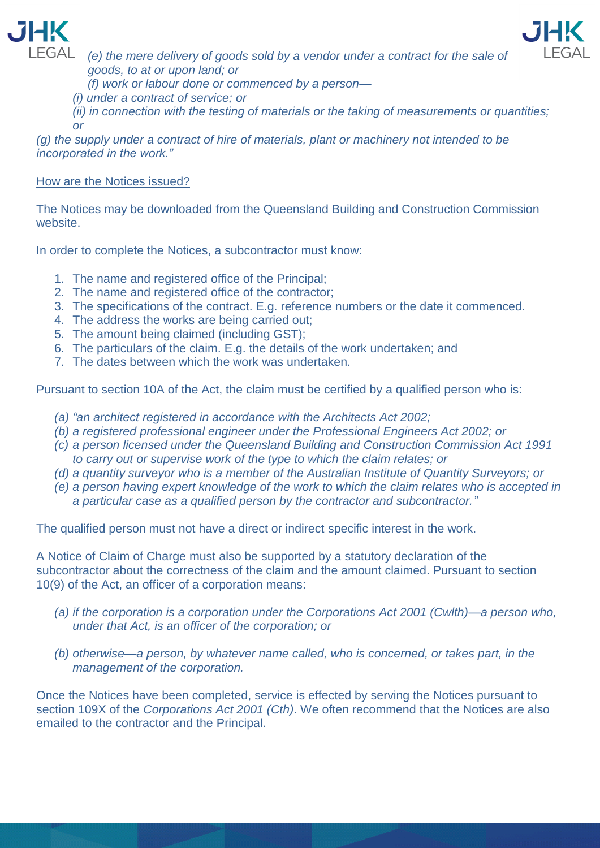



LEGAL (e) the mere delivery of goods sold by a vendor under a contract for the sale of *goods, to at or upon land; or* 

*(f) work or labour done or commenced by a person—*

*(i) under a contract of service; or* 

*(ii) in connection with the testing of materials or the taking of measurements or quantities; or* 

*(g) the supply under a contract of hire of materials, plant or machinery not intended to be incorporated in the work."*

# How are the Notices issued?

The Notices may be downloaded from the Queensland Building and Construction Commission website.

In order to complete the Notices, a subcontractor must know:

- 1. The name and registered office of the Principal;
- 2. The name and registered office of the contractor;
- 3. The specifications of the contract. E.g. reference numbers or the date it commenced.
- 4. The address the works are being carried out;
- 5. The amount being claimed (including GST);
- 6. The particulars of the claim. E.g. the details of the work undertaken; and
- 7. The dates between which the work was undertaken.

Pursuant to section 10A of the Act, the claim must be certified by a qualified person who is:

- *(a) "an architect registered in accordance with the Architects Act 2002;*
- *(b) a registered professional engineer under the Professional Engineers Act 2002; or*
- *(c) a person licensed under the Queensland Building and Construction Commission Act 1991 to carry out or supervise work of the type to which the claim relates; or*
- *(d) a quantity surveyor who is a member of the Australian Institute of Quantity Surveyors; or*
- *(e) a person having expert knowledge of the work to which the claim relates who is accepted in a particular case as a qualified person by the contractor and subcontractor."*

The qualified person must not have a direct or indirect specific interest in the work.

A Notice of Claim of Charge must also be supported by a statutory declaration of the subcontractor about the correctness of the claim and the amount claimed. Pursuant to section 10(9) of the Act, an officer of a corporation means:

- *(a) if the corporation is a corporation under the Corporations Act 2001 (Cwlth)—a person who, under that Act, is an officer of the corporation; or*
- *(b) otherwise—a person, by whatever name called, who is concerned, or takes part, in the management of the corporation.*

Once the Notices have been completed, service is effected by serving the Notices pursuant to section 109X of the *Corporations Act 2001 (Cth)*. We often recommend that the Notices are also emailed to the contractor and the Principal.